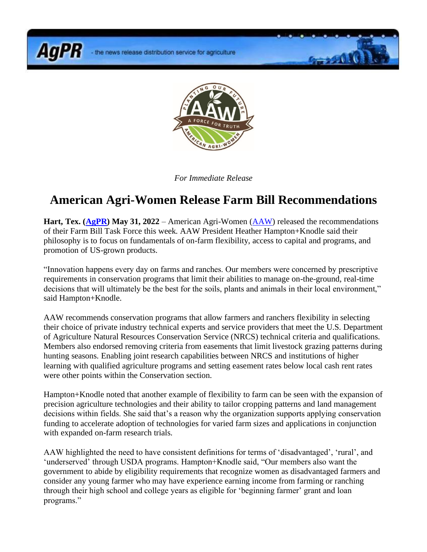the news release distribution service for agriculture

**AgPR** 



**Grand K** 

*For Immediate Release*

## **American Agri-Women Release Farm Bill Recommendations**

**Hart, Tex. [\(AgPR\)](http://www.agnewscenter.com/trk/process.cfm?track=5555&tc=2&codex=x1) May 31, 2022** – American Agri-Women [\(AAW\)](http://www.agnewscenter.com/trk/process.cfm?track=4646&tc=2&codex=x1) released the recommendations of their Farm Bill Task Force this week. AAW President Heather Hampton+Knodle said their philosophy is to focus on fundamentals of on-farm flexibility, access to capital and programs, and promotion of US-grown products.

"Innovation happens every day on farms and ranches. Our members were concerned by prescriptive requirements in conservation programs that limit their abilities to manage on-the-ground, real-time decisions that will ultimately be the best for the soils, plants and animals in their local environment," said Hampton+Knodle.

AAW recommends conservation programs that allow farmers and ranchers flexibility in selecting their choice of private industry technical experts and service providers that meet the U.S. Department of Agriculture Natural Resources Conservation Service (NRCS) technical criteria and qualifications. Members also endorsed removing criteria from easements that limit livestock grazing patterns during hunting seasons. Enabling joint research capabilities between NRCS and institutions of higher learning with qualified agriculture programs and setting easement rates below local cash rent rates were other points within the Conservation section.

Hampton+Knodle noted that another example of flexibility to farm can be seen with the expansion of precision agriculture technologies and their ability to tailor cropping patterns and land management decisions within fields. She said that's a reason why the organization supports applying conservation funding to accelerate adoption of technologies for varied farm sizes and applications in conjunction with expanded on-farm research trials.

AAW highlighted the need to have consistent definitions for terms of 'disadvantaged', 'rural', and 'underserved' through USDA programs. Hampton+Knodle said, "Our members also want the government to abide by eligibility requirements that recognize women as disadvantaged farmers and consider any young farmer who may have experience earning income from farming or ranching through their high school and college years as eligible for 'beginning farmer' grant and loan programs."